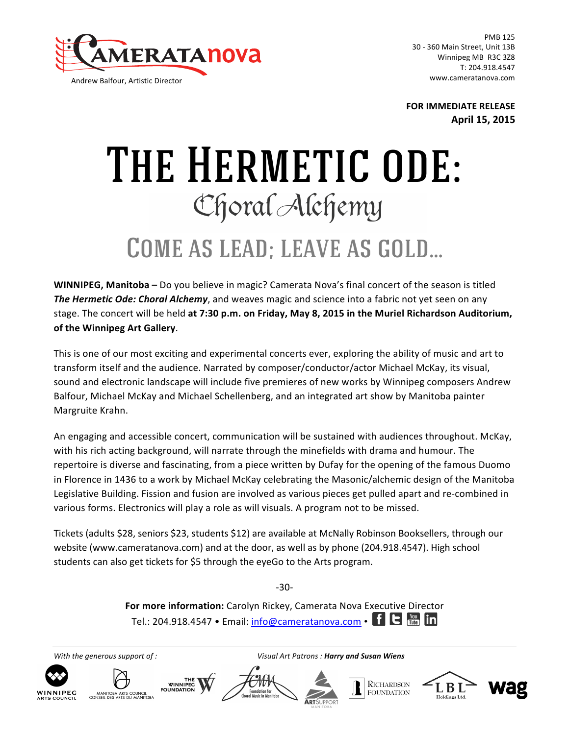

Andrew Balfour, Artistic Director

PMB 125 30 - 360 Main Street, Unit 13B Winnipeg MB R3C 3Z8 T: 204.918.4547 www.cameratanova.com

**FOR IMMEDIATE RELEASE April 15, 2015** 

## THE HERMETIC ODE:<br>
Choral Alehemy

## Come as lead; leave as gold…

**WINNIPEG, Manitoba** – Do you believe in magic? Camerata Nova's final concert of the season is titled **The Hermetic Ode: Choral Alchemy**, and weaves magic and science into a fabric not yet seen on any stage. The concert will be held at 7:30 p.m. on Friday, May 8, 2015 in the Muriel Richardson Auditorium, of the Winnipeg Art Gallery.

This is one of our most exciting and experimental concerts ever, exploring the ability of music and art to transform itself and the audience. Narrated by composer/conductor/actor Michael McKay, its visual, sound and electronic landscape will include five premieres of new works by Winnipeg composers Andrew Balfour, Michael McKay and Michael Schellenberg, and an integrated art show by Manitoba painter Margruite Krahn.

An engaging and accessible concert, communication will be sustained with audiences throughout. McKay, with his rich acting background, will narrate through the minefields with drama and humour. The repertoire is diverse and fascinating, from a piece written by Dufay for the opening of the famous Duomo in Florence in 1436 to a work by Michael McKay celebrating the Masonic/alchemic design of the Manitoba Legislative Building. Fission and fusion are involved as various pieces get pulled apart and re-combined in various forms. Electronics will play a role as will visuals. A program not to be missed.

Tickets (adults \$28, seniors \$23, students \$12) are available at McNally Robinson Booksellers, through our website (www.cameratanova.com) and at the door, as well as by phone (204.918.4547). High school students can also get tickets for \$5 through the eyeGo to the Arts program.

-30-

For more information: Carolyn Rickey, Camerata Nova Executive Director Tel.: 204.918.4547 • Email: info@cameratanova.com •  $\blacksquare$   $\blacksquare$   $\blacksquare$   $\blacksquare$   $\blacksquare$   $\blacksquare$ 

*With the generous support of : Visual Art Patrons : Harry and Susan Wiens*